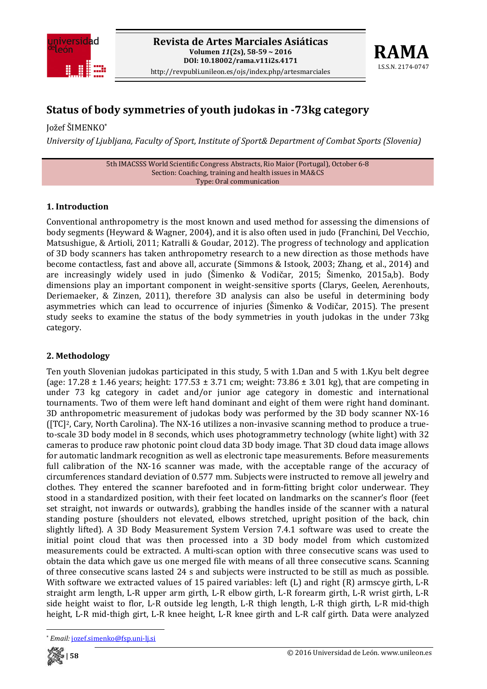



# **Status of body symmetries of youth judokas in 73kg category**

Jožef ŠIMENKO\*

*University of Ljubljana, Faculty of Sport, Institute of Sport& Department of Combat Sports (Slovenia)*

5th IMACSSS World Scientific Congress Abstracts, Rio Maior (Portugal), October 6‐8 Section: Coaching, training and health issues in MA&CS Type: Oral communication

## **1. Introduction**

Conventional anthropometry is the most known and used method for assessing the dimensions of body segments (Heyward & Wagner, 2004), and it is also often used in judo (Franchini, Del Vecchio, Matsushigue, & Artioli, 2011; Katralli & Goudar, 2012). The progress of technology and application of 3D body scanners has taken anthropometry research to a new direction as those methods have become contactless, fast and above all, accurate (Simmons & Istook, 2003; Zhang, et al., 2014) and are increasingly widely used in judo (Šimenko & Vodičar, 2015; Šimenko, 2015a,b). Body dimensions play an important component in weight-sensitive sports (Clarys, Geelen, Aerenhouts, Deriemaeker, & Zinzen, 2011), therefore 3D analysis can also be useful in determining body asymmetries which can lead to occurrence of injuries (Šimenko & Vodičar, 2015). The present study seeks to examine the status of the body symmetries in youth judokas in the under 73kg category.

### **2. Methodology**

Ten youth Slovenian judokas participated in this study, 5 with 1.Dan and 5 with 1.Kyu belt degree (age:  $17.28 \pm 1.46$  years; height:  $177.53 \pm 3.71$  cm; weight:  $73.86 \pm 3.01$  kg), that are competing in under 73 kg category in cadet and/or junior age category in domestic and international tournaments. Two of them were left hand dominant and eight of them were right hand dominant. 3D anthropometric measurement of judokas body was performed by the 3D body scanner NX‐16 ([TC]2, Cary, North Carolina). The NX‐16 utilizes a non‐invasive scanning method to produce a true‐ to-scale 3D body model in 8 seconds, which uses photogrammetry technology (white light) with 32 cameras to produce raw photonic point cloud data 3D body image. That 3D cloud data image allows for automatic landmark recognition as well as electronic tape measurements. Before measurements full calibration of the NX-16 scanner was made, with the acceptable range of the accuracy of circumferences standard deviation of 0.577 mm. Subjects were instructed to remove all jewelry and clothes. They entered the scanner barefooted and in form‐fitting bright color underwear. They stood in a standardized position, with their feet located on landmarks on the scanner's floor (feet set straight, not inwards or outwards), grabbing the handles inside of the scanner with a natural standing posture (shoulders not elevated, elbows stretched, upright position of the back, chin slightly lifted). A 3D Body Measurement System Version 7.4.1 software was used to create the initial point cloud that was then processed into a 3D body model from which customized measurements could be extracted. A multi‐scan option with three consecutive scans was used to obtain the data which gave us one merged file with means of all three consecutive scans. Scanning of three consecutive scans lasted 24 s and subjects were instructed to be still as much as possible. With software we extracted values of 15 paired variables: left (L) and right (R) armscye girth, L-R straight arm length, L‐R upper arm girth, L‐R elbow girth, L‐R forearm girth, L‐R wrist girth, L‐R side height waist to flor, L-R outside leg length, L-R thigh length, L-R thigh girth, L-R mid-thigh height, L-R mid-thigh girt, L-R knee height, L-R knee girth and L-R calf girth. Data were analyzed

 \* *Email:* jozef.simenko@fsp.uni‐lj.si